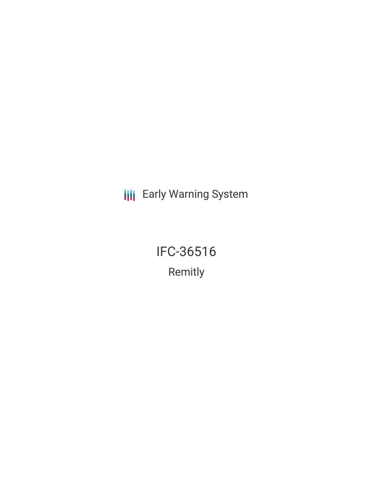**III** Early Warning System

IFC-36516 Remitly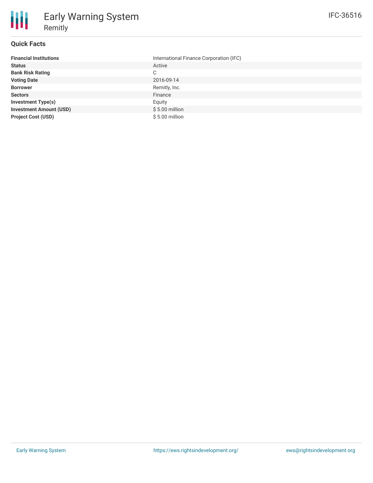#### **Quick Facts**

朋

| <b>Financial Institutions</b>  | International Finance Corporation (IFC) |
|--------------------------------|-----------------------------------------|
| <b>Status</b>                  | Active                                  |
| <b>Bank Risk Rating</b>        | C                                       |
| <b>Voting Date</b>             | 2016-09-14                              |
| <b>Borrower</b>                | Remitly, Inc.                           |
| <b>Sectors</b>                 | Finance                                 |
| <b>Investment Type(s)</b>      | Equity                                  |
| <b>Investment Amount (USD)</b> | $$5.00$ million                         |
| <b>Project Cost (USD)</b>      | $$5.00$ million                         |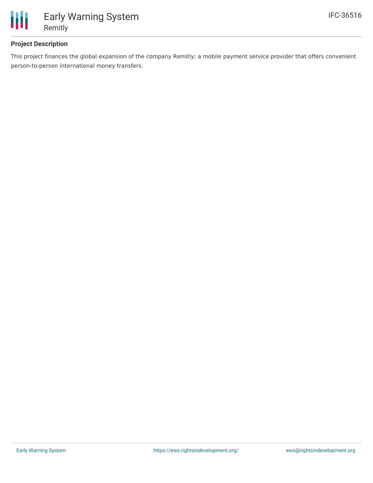

# **Project Description**

This project finances the global expansion of the company Remitly; a mobile payment service provider that offers convenient person-to-person international money transfers.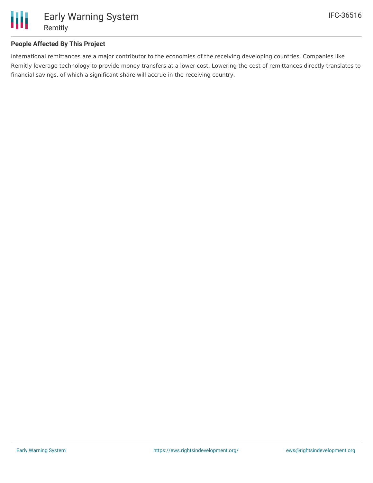

## **People Affected By This Project**

International remittances are a major contributor to the economies of the receiving developing countries. Companies like Remitly leverage technology to provide money transfers at a lower cost. Lowering the cost of remittances directly translates to financial savings, of which a significant share will accrue in the receiving country.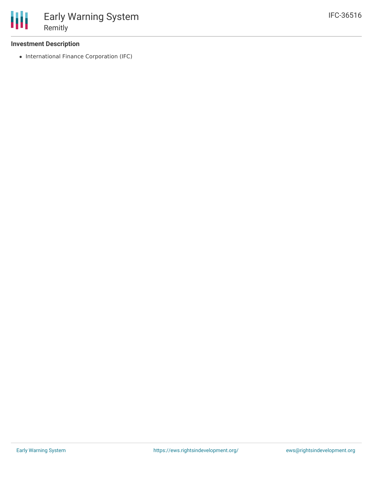#### **Investment Description**

• International Finance Corporation (IFC)